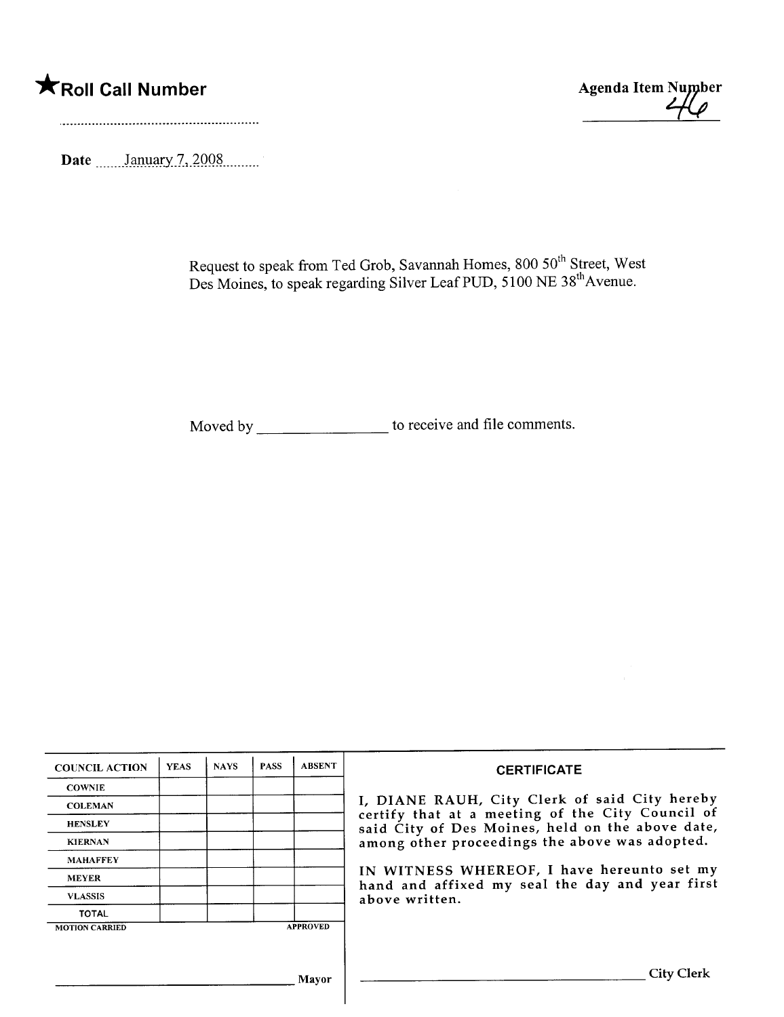# \*Roll Call Number Agenda Item Number



Date \_\_\_\_\_\_January 7, 2008

Request to speak from Ted Grob, Savannah Homes, 800 50" Street, West Des Moines, to speak regarding Silver Leaf PUD, 5100 NE 38<sup>th</sup> Avenue.

Moved by \_\_\_\_\_\_\_\_\_\_\_\_\_\_\_\_\_\_\_\_\_ to receive and file comments.

| <b>COUNCIL ACTION</b> | <b>YEAS</b> | <b>NAYS</b> | <b>PASS</b> | <b>ABSENT</b>   | <b>CERTIFICATE</b>                                                                                   |
|-----------------------|-------------|-------------|-------------|-----------------|------------------------------------------------------------------------------------------------------|
| <b>COWNIE</b>         |             |             |             |                 |                                                                                                      |
| <b>COLEMAN</b>        |             |             |             |                 | I, DIANE RAUH, City Clerk of said City hereby                                                        |
| <b>HENSLEY</b>        |             |             |             |                 | certify that at a meeting of the City Council of<br>said City of Des Moines, held on the above date, |
| <b>KIERNAN</b>        |             |             |             |                 | among other proceedings the above was adopted.                                                       |
| <b>MAHAFFEY</b>       |             |             |             |                 |                                                                                                      |
| <b>MEYER</b>          |             |             |             |                 | IN WITNESS WHEREOF, I have hereunto set my<br>hand and affixed my seal the day and year first        |
| <b>VLASSIS</b>        |             |             |             |                 | above written.                                                                                       |
| <b>TOTAL</b>          |             |             |             |                 |                                                                                                      |
| <b>MOTION CARRIED</b> |             |             |             | <b>APPROVED</b> |                                                                                                      |
|                       |             |             |             |                 |                                                                                                      |
|                       |             |             |             | Mayor           | City (                                                                                               |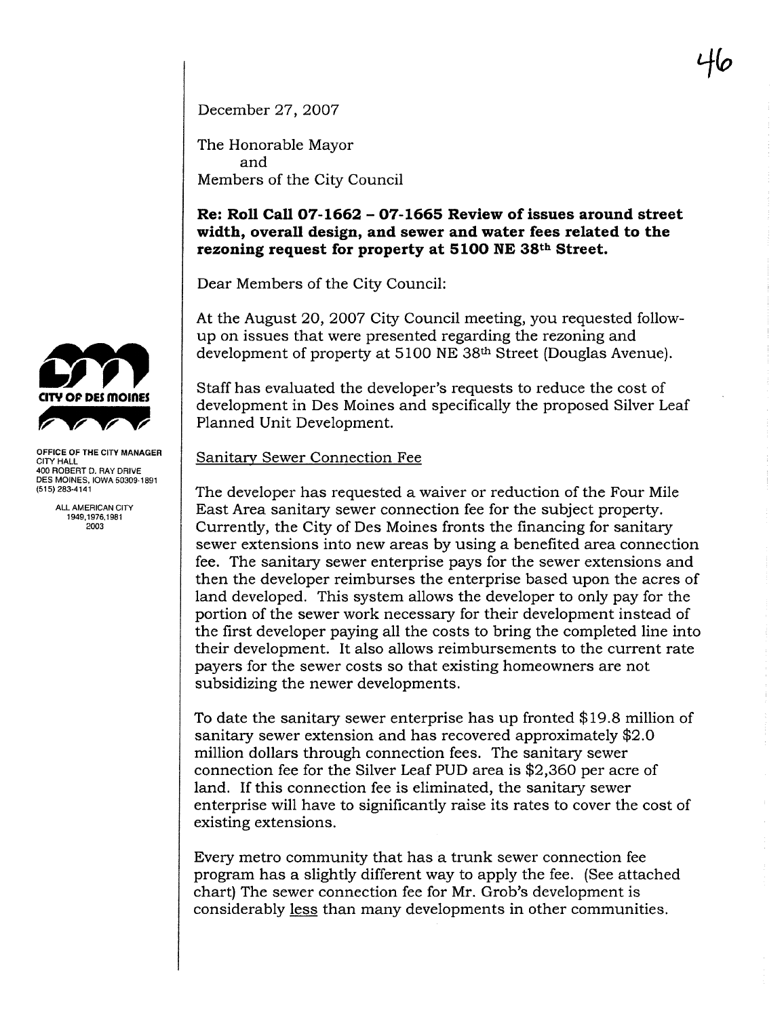December 27, 2007

The Honorable Mayor and Members of the City Council

## Re: Roll Call 07-1662 - 07-1665 Review of issues around street width, overall design, and sewer and water fees related to the rezoning request for property at 5100 NE 38th Street.

Dear Members of the City Council:

At the August 20, 2007 City Council meeting, you requested followup on issues that were presented regarding the rezoning and development of property at 5100 NE 38th Street (Douglas Avenue).

Staff has evaluated the developer's requests to reduce the cost of development in Des Moines and specifically the proposed Silver Leaf Planned Unit Development.

## Sanitary Sewer Connection Fee

The developer has requested a waiver or reduction of the Four Mile East Area sanitary sewer connection fee for the subject property. Currently, the City of Des Moines fronts the financing for sanitar sewer extensions into new areas by using a benefited area connection fee. The sanitary sewer enterprise pays for the sewer extensions and then the developer reimburses the enterprise based upon the acres of land developed. This system allows the developer to only pay for the portion of the sewer work necessary for their development instead of the first developer paying all the costs to bring the completed line into their development. It also allows reimbursements to the current rate payers for the sewer costs so that existing homeowners are not subsidizing the newer developments.

To date the sanitary sewer enterprise has up fronted \$19.8 milion of sanitary sewer extension and has recovered approximately \$2.0 milion dollars through connection fees. The sanitary sewer connection fee for the Silver Leaf PUD area is \$2,360 per acre of land. If this connection fee is eliminated, the sanitary sewer enterprise will have to significantly raise its rates to cover the cost of existing extensions.

Every metro community that has a trunk sewer connection fee program has a slightly different way to apply the fee. (See attached chart) The sewer connection fee for Mr. Grob's development is considerably less than many developments in other communities.



OFFICE OF THE CITY MANAGER CITY HALL 400 ROBERT D. RAY DRIVE DES MOINES, IOWA 50309.1891 (515) 283-4141

ALL AMERICAN CITY 1949,1976.1981 2003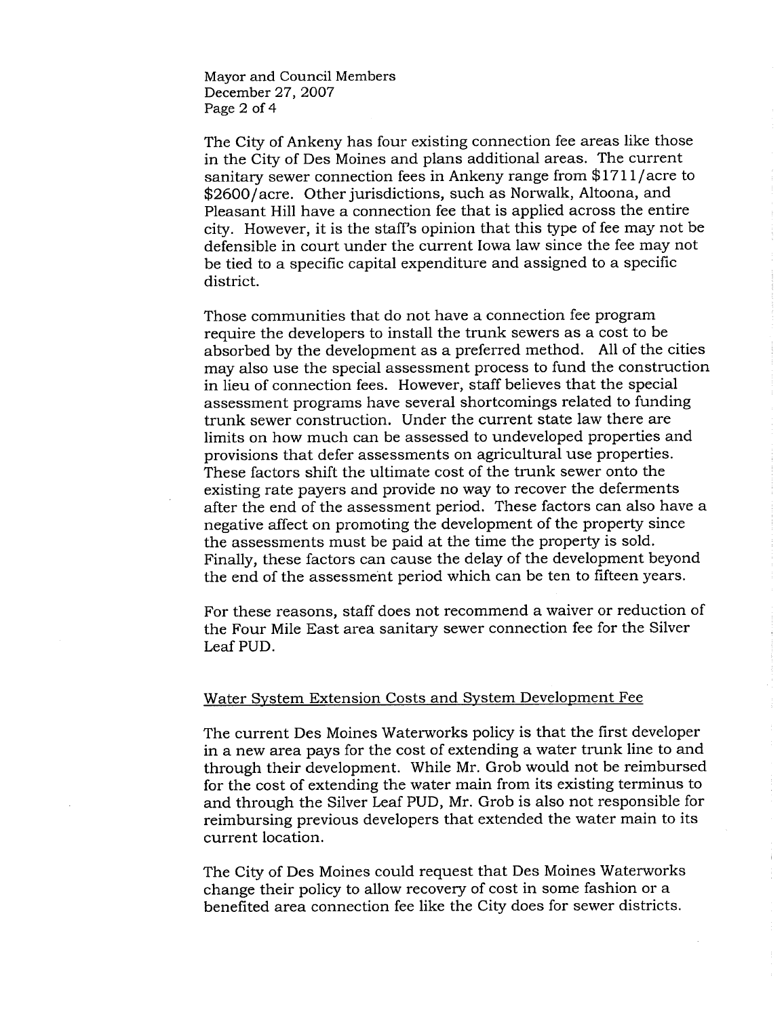Mayor and Council Members December 27, 2007 Page 2 of 4

The City of Ankeny has four existing connection fee areas like those in the City of Des Moines and plans additional areas. The current sanitary sewer connection fees in Ankeny range from \$1711/acre to \$2600/acre. Other jurisdictions, such as Norwalk, Altoona, and Pleasant Hill have a connection fee that is applied across the entire city. However, it is the staff's opinion that this type of fee may not be defensible in court under the current Iowa law since the fee may not be tied to a specific capital expenditure and assigned to a specific district.

Those communities that do not have a connection fee program require the developers to install the trunk sewers as a cost to be absorbed by the development as a preferred method. All of the cities may also use the special assessment process to fund the construction in lieu of connection fees. However, staff believes that the special assessment programs have several shortcomings related to funding trunk sewer construction. Under the current state law there are limits on how much can be assessed to undeveloped properties and provisions that defer assessments on agricultural use properties. These factors shift the ultimate cost of the trunk sewer onto the existing rate payers and provide no way to recover the deferments after the end of the assessment period. These factors can also have a negative affect on promoting the development of the property since the assessments must be paid at the time the property is sold. Finally, these factors can cause the delay of the development beyond the end of the assessment period which can be ten to fifteen years.

For these reasons, staff does not recommend a waiver or reduction of the Four Mile East area sanitary sewer connection fee for the Silver Leaf PUD.

### Water System Extension Costs and System Development Fee

The current Des Moines Waterworks policy is that the first developer in a new area pays for the cost of extending a water trunk line to and through their development. While Mr. Grob would not be reimbursed for the cost of extending the water main from its existing terminus to and through the Silver Leaf PUD, Mr. Grob is also not responsible for reimbursing previous developers that extended the water main to its current location.

The City of Des Moines could request that Des Moines Waterworks change their policy to allow recovery of cost in some fashion or a benefited area connection fee like the City does for sewer districts.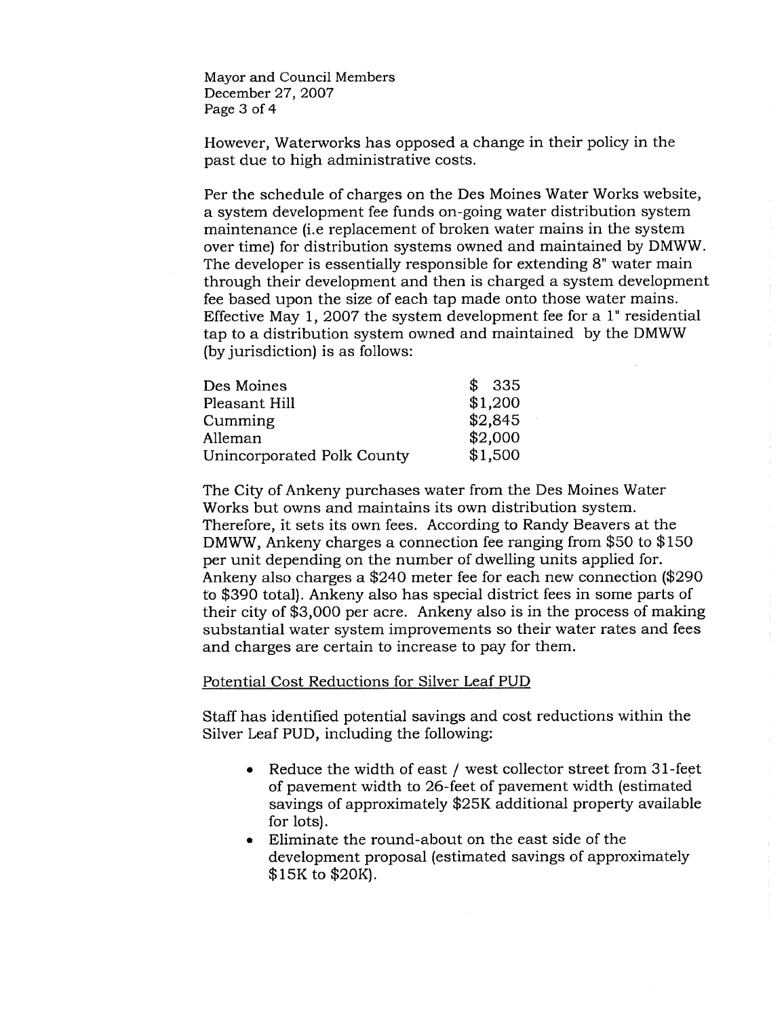Mayor and Council Members December 27, 2007 Page 3 of 4

However, Waterworks has opposed a change in their policy in the past due to high administrative costs.

Per the schedule of charges on the Des Moines Water Works website, a system development fee funds on-going water distribution system maintenance (i.e replacement of broken water mains in the system over time) for distribution systems owned and maintained by DMWW. The developer is essentially responsible for extending 8" water main through their development and then is charged a system development fee based upon the size of each tap made onto those water mains. Effective May 1, 2007 the system development fee for a 1" residential tap to a distribution system owned and maintained by the DMWW (by jurisdiction) is as follows:

÷.

| Des Moines                 | -335    |
|----------------------------|---------|
| Pleasant Hill              | \$1,200 |
| Cumming                    | \$2,845 |
| Alleman                    | \$2,000 |
| Unincorporated Polk County | \$1,500 |

The City of Ankeny purchases water from the Des Moines Water Works but owns and maintains its own distribution system. Therefore, it sets its own fees. According to Randy Beavers at the DMWW, Ankeny charges a connection fee ranging from \$50 to \$150 per unit depending on the number of dwelling units applied for. Ankeny also charges a \$240 meter fee for each new connection (\$290 to \$390 total). Ankeny also has special district fees in some parts of their city of \$3,000 per acre. Ankeny also is in the process of making substantial water system improvements so their water rates and fees and charges are certain to increase to pay for them.

#### Potential Cost Reductions for Silver Leaf PUD

Staff has identified potential savings and cost reductions within the Silver Leaf PUD, including the following:

- $\bullet$  Reduce the width of east / west collector street from 31-feet of pavement width to 26-feet of pavement width (estimated savings of approximately \$25K additional property available for lots).
- . Eliminate the round-about on the east side of the development proposal (estimated savings of approximately \$ 15K to \$20K).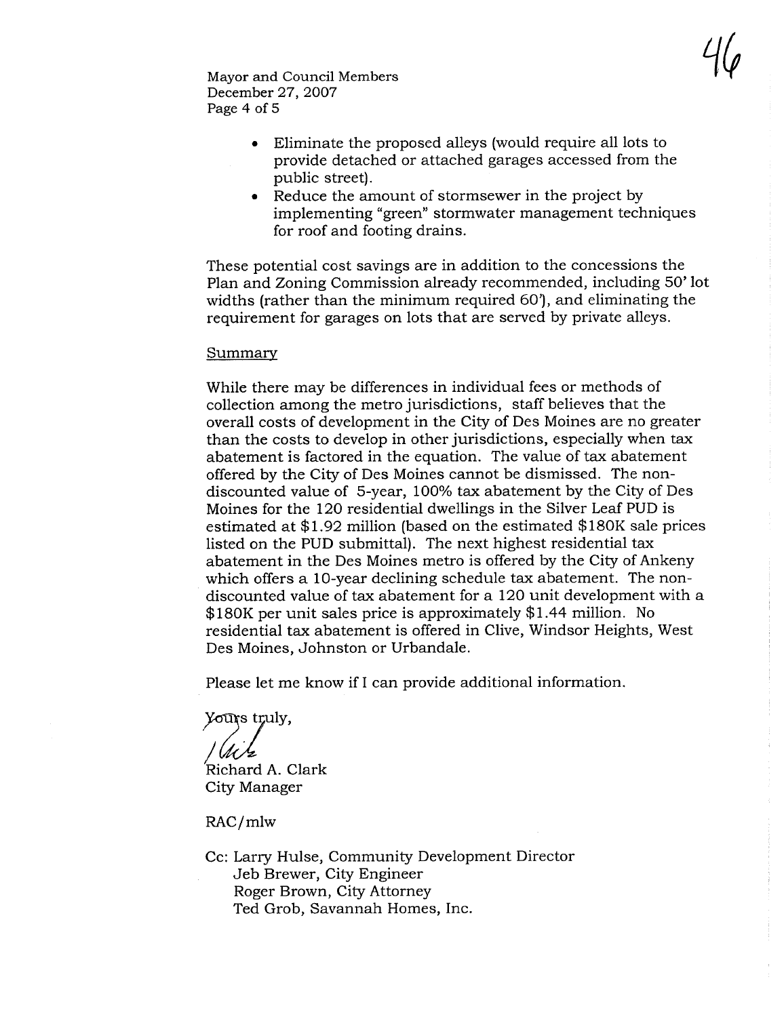$7\varphi$ 

Mayor and Council Members December 27, 2007 Page 4 of 5

- . Eliminate the proposed alleys (would require all lots to provide detached or attached garages accessed from the public street).
- . Reduce the amount of stormsewer in the project by implementing "green" stormwater management techniques for roof and footing drains.

These potential cost savings are in addition to the concessions the Plan and Zoning Commission already recommended, including 50' lot widths (rather than the minimum required 60'), and eliminating the requirement for garages on lots that are served by private alleys.

#### Summary

While there may be differences in individual fees or methods of collection among the metro jurisdictions, staff believes that the overall costs of development in the City of Des Moines are no greater than the costs to develop in other jurisdictions, especially when tax abatement is factored in the equation. The value of tax abatement offered by the City of Des Moines cannot be dismissed. The nondiscounted value of 5-year, 100% tax abatement by the City of Des Moines for the 120 residential dwellings in the Silver Leaf PUD is estimated at \$1.92 milion (based on the estimated \$180K sale prices listed on the PUD submittal). The next highest residential tax abatement in the Des Moines metro is offered by the City of Ankeny which offers a 10-year declining schedule tax abatement. The nondiscounted value of tax abatement for a 120 unit development with a \$180K per unit sales price is approximately \$1.44 milion. No residential tax abatement is offered in Clive, Windsor Heights, West Des Moines, Johnston or Urbandale.

Please let me know if I can provide additional information.

Yours truly,

Richard A. Clark City Manager

RAC/mlw

Cc: Larry Hulse, Community Development Director Jeb Brewer, City Engineer Roger Brown, City Attorney Ted Grob, Savannah Homes, Inc.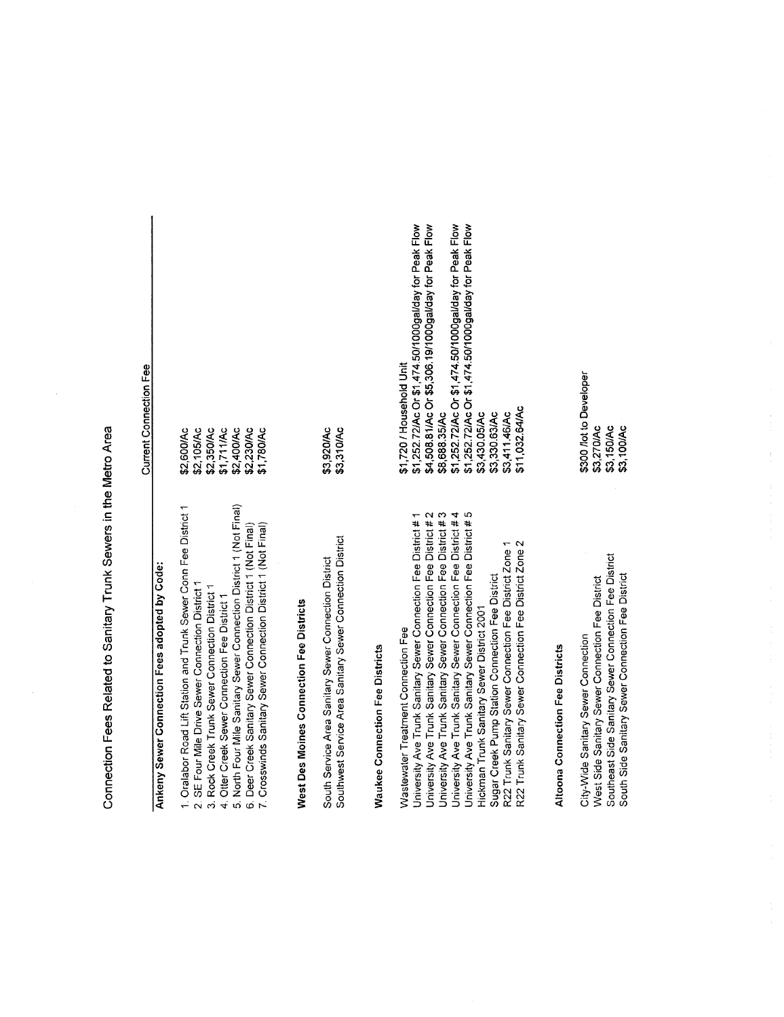Connection Fees Related to Sanitary Trunk Sewers in the Metro Area Connection Fees Related to Sanitary Trunk Sewers in the Metro Area

 $\frac{1}{2}$ 

| Current Connection Fee                                                                                         |
|----------------------------------------------------------------------------------------------------------------|
|                                                                                                                |
| \$2,105/Ac<br>\$2,350/Ac<br>\$2,600/Ac                                                                         |
| \$1,711/Ac                                                                                                     |
| \$2,400/Ac<br>\$2,230/Ac                                                                                       |
| \$1.780/Ac                                                                                                     |
|                                                                                                                |
| \$3,920/Ac<br>\$3,310/Ac                                                                                       |
|                                                                                                                |
| \$1,252.72/Ac Or \$1,474.50/1000gal/day for Peak Flow<br>\$1,720 / Household Unit                              |
| \$4,508.81/Ac Or \$5,306.19/1000gal/day for Peak Flow<br>\$8,688.35/Ac                                         |
| \$1,252.72/Ac Or \$1,474.50/1000gal/day for Peak Flow<br>\$1,252.72/Ac Or \$1,474.50/1000gal/day for Peak Flow |
| \$3,430.05/Ac                                                                                                  |
| \$3,411.46/Ac<br>\$3,330.63/Ac                                                                                 |
| \$11,032.64/Ac                                                                                                 |
|                                                                                                                |
|                                                                                                                |
| \$300 /lot to Developer<br>\$3,270/Ac                                                                          |
| \$3,100/Ac<br>\$3,150/Ac                                                                                       |
|                                                                                                                |